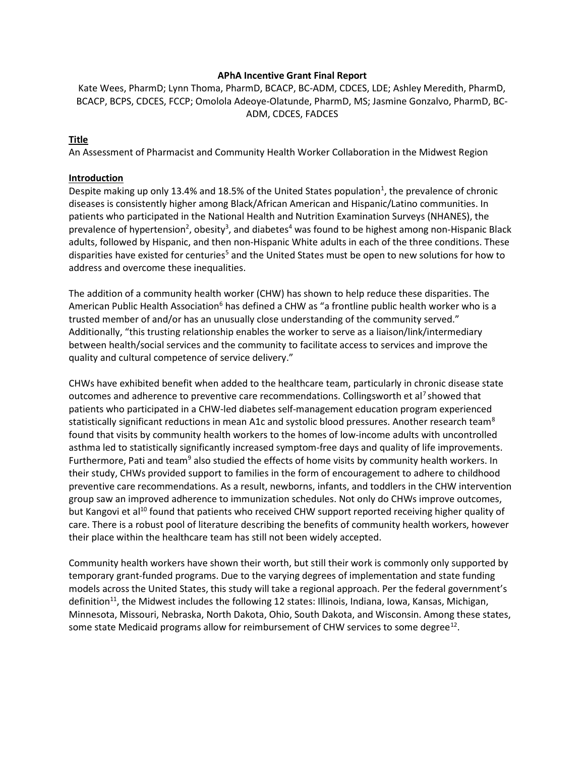## APhA Incentive Grant Final Report

Kate Wees, PharmD; Lynn Thoma, PharmD, BCACP, BC-ADM, CDCES, LDE; Ashley Meredith, PharmD, BCACP, BCPS, CDCES, FCCP; Omolola Adeoye-Olatunde, PharmD, MS; Jasmine Gonzalvo, PharmD, BC-ADM, CDCES, FADCES

### Title

An Assessment of Pharmacist and Community Health Worker Collaboration in the Midwest Region

### Introduction

Despite making up only 13.4% and 18.5% of the United States population<sup>1</sup>, the prevalence of chronic diseases is consistently higher among Black/African American and Hispanic/Latino communities. In patients who participated in the National Health and Nutrition Examination Surveys (NHANES), the prevalence of hypertension<sup>2</sup>, obesity<sup>3</sup>, and diabetes<sup>4</sup> was found to be highest among non-Hispanic Black adults, followed by Hispanic, and then non-Hispanic White adults in each of the three conditions. These disparities have existed for centuries<sup>5</sup> and the United States must be open to new solutions for how to address and overcome these inequalities.

The addition of a community health worker (CHW) has shown to help reduce these disparities. The American Public Health Association<sup>6</sup> has defined a CHW as "a frontline public health worker who is a trusted member of and/or has an unusually close understanding of the community served." Additionally, "this trusting relationship enables the worker to serve as a liaison/link/intermediary between health/social services and the community to facilitate access to services and improve the quality and cultural competence of service delivery."

CHWs have exhibited benefit when added to the healthcare team, particularly in chronic disease state outcomes and adherence to preventive care recommendations. Collingsworth et al<sup>7</sup> showed that patients who participated in a CHW-led diabetes self-management education program experienced statistically significant reductions in mean A1c and systolic blood pressures. Another research team<sup>8</sup> found that visits by community health workers to the homes of low-income adults with uncontrolled asthma led to statistically significantly increased symptom-free days and quality of life improvements. Furthermore, Pati and team<sup>9</sup> also studied the effects of home visits by community health workers. In their study, CHWs provided support to families in the form of encouragement to adhere to childhood preventive care recommendations. As a result, newborns, infants, and toddlers in the CHW intervention group saw an improved adherence to immunization schedules. Not only do CHWs improve outcomes, but Kangovi et al<sup>10</sup> found that patients who received CHW support reported receiving higher quality of care. There is a robust pool of literature describing the benefits of community health workers, however their place within the healthcare team has still not been widely accepted.

Community health workers have shown their worth, but still their work is commonly only supported by temporary grant-funded programs. Due to the varying degrees of implementation and state funding models across the United States, this study will take a regional approach. Per the federal government's definition<sup>11</sup>, the Midwest includes the following 12 states: Illinois, Indiana, Iowa, Kansas, Michigan, Minnesota, Missouri, Nebraska, North Dakota, Ohio, South Dakota, and Wisconsin. Among these states, some state Medicaid programs allow for reimbursement of CHW services to some degree<sup>12</sup>.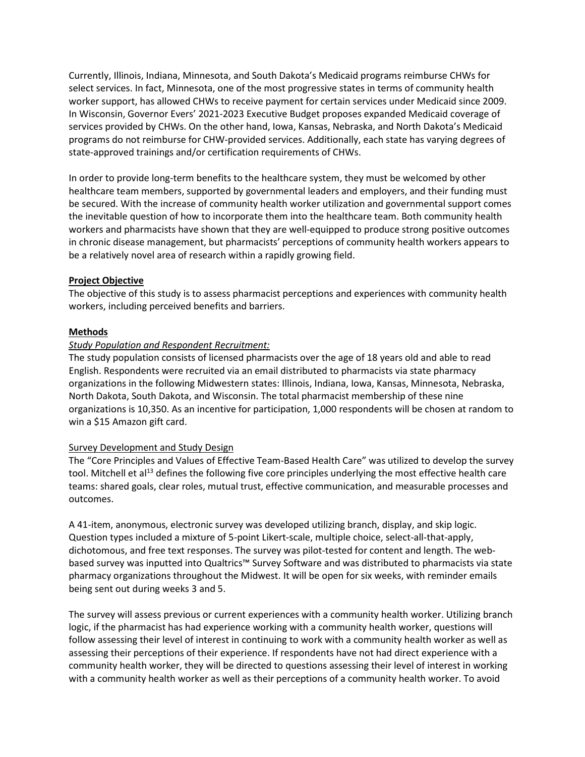Currently, Illinois, Indiana, Minnesota, and South Dakota's Medicaid programs reimburse CHWs for select services. In fact, Minnesota, one of the most progressive states in terms of community health worker support, has allowed CHWs to receive payment for certain services under Medicaid since 2009. In Wisconsin, Governor Evers' 2021-2023 Executive Budget proposes expanded Medicaid coverage of services provided by CHWs. On the other hand, Iowa, Kansas, Nebraska, and North Dakota's Medicaid programs do not reimburse for CHW-provided services. Additionally, each state has varying degrees of state-approved trainings and/or certification requirements of CHWs.

In order to provide long-term benefits to the healthcare system, they must be welcomed by other healthcare team members, supported by governmental leaders and employers, and their funding must be secured. With the increase of community health worker utilization and governmental support comes the inevitable question of how to incorporate them into the healthcare team. Both community health workers and pharmacists have shown that they are well-equipped to produce strong positive outcomes in chronic disease management, but pharmacists' perceptions of community health workers appears to be a relatively novel area of research within a rapidly growing field.

## Project Objective

The objective of this study is to assess pharmacist perceptions and experiences with community health workers, including perceived benefits and barriers.

#### Methods

## Study Population and Respondent Recruitment:

The study population consists of licensed pharmacists over the age of 18 years old and able to read English. Respondents were recruited via an email distributed to pharmacists via state pharmacy organizations in the following Midwestern states: Illinois, Indiana, Iowa, Kansas, Minnesota, Nebraska, North Dakota, South Dakota, and Wisconsin. The total pharmacist membership of these nine organizations is 10,350. As an incentive for participation, 1,000 respondents will be chosen at random to win a \$15 Amazon gift card.

#### Survey Development and Study Design

The "Core Principles and Values of Effective Team-Based Health Care" was utilized to develop the survey tool. Mitchell et al<sup>13</sup> defines the following five core principles underlying the most effective health care teams: shared goals, clear roles, mutual trust, effective communication, and measurable processes and outcomes.

A 41-item, anonymous, electronic survey was developed utilizing branch, display, and skip logic. Question types included a mixture of 5-point Likert-scale, multiple choice, select-all-that-apply, dichotomous, and free text responses. The survey was pilot-tested for content and length. The webbased survey was inputted into Qualtrics™ Survey Software and was distributed to pharmacists via state pharmacy organizations throughout the Midwest. It will be open for six weeks, with reminder emails being sent out during weeks 3 and 5.

The survey will assess previous or current experiences with a community health worker. Utilizing branch logic, if the pharmacist has had experience working with a community health worker, questions will follow assessing their level of interest in continuing to work with a community health worker as well as assessing their perceptions of their experience. If respondents have not had direct experience with a community health worker, they will be directed to questions assessing their level of interest in working with a community health worker as well as their perceptions of a community health worker. To avoid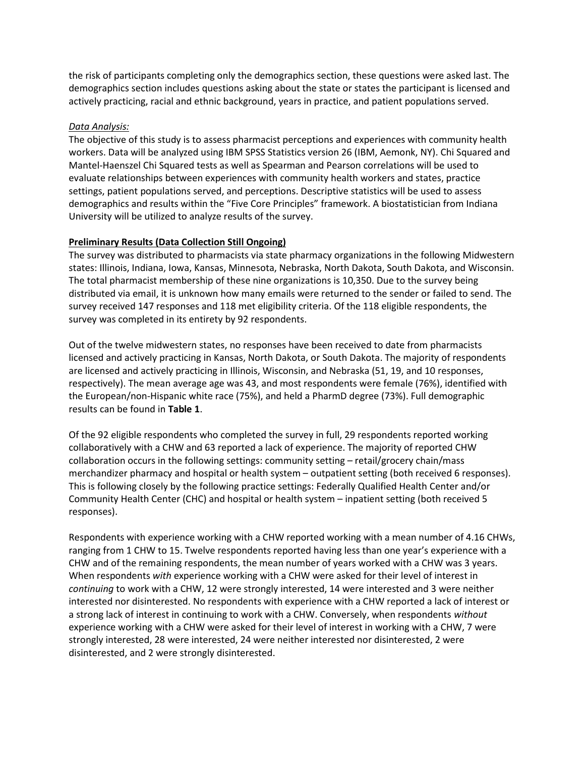the risk of participants completing only the demographics section, these questions were asked last. The demographics section includes questions asking about the state or states the participant is licensed and actively practicing, racial and ethnic background, years in practice, and patient populations served.

## Data Analysis:

The objective of this study is to assess pharmacist perceptions and experiences with community health workers. Data will be analyzed using IBM SPSS Statistics version 26 (IBM, Aemonk, NY). Chi Squared and Mantel-Haenszel Chi Squared tests as well as Spearman and Pearson correlations will be used to evaluate relationships between experiences with community health workers and states, practice settings, patient populations served, and perceptions. Descriptive statistics will be used to assess demographics and results within the "Five Core Principles" framework. A biostatistician from Indiana University will be utilized to analyze results of the survey.

## Preliminary Results (Data Collection Still Ongoing)

The survey was distributed to pharmacists via state pharmacy organizations in the following Midwestern states: Illinois, Indiana, Iowa, Kansas, Minnesota, Nebraska, North Dakota, South Dakota, and Wisconsin. The total pharmacist membership of these nine organizations is 10,350. Due to the survey being distributed via email, it is unknown how many emails were returned to the sender or failed to send. The survey received 147 responses and 118 met eligibility criteria. Of the 118 eligible respondents, the survey was completed in its entirety by 92 respondents.

Out of the twelve midwestern states, no responses have been received to date from pharmacists licensed and actively practicing in Kansas, North Dakota, or South Dakota. The majority of respondents are licensed and actively practicing in Illinois, Wisconsin, and Nebraska (51, 19, and 10 responses, respectively). The mean average age was 43, and most respondents were female (76%), identified with the European/non-Hispanic white race (75%), and held a PharmD degree (73%). Full demographic results can be found in Table 1.

Of the 92 eligible respondents who completed the survey in full, 29 respondents reported working collaboratively with a CHW and 63 reported a lack of experience. The majority of reported CHW collaboration occurs in the following settings: community setting – retail/grocery chain/mass merchandizer pharmacy and hospital or health system – outpatient setting (both received 6 responses). This is following closely by the following practice settings: Federally Qualified Health Center and/or Community Health Center (CHC) and hospital or health system – inpatient setting (both received 5 responses).

Respondents with experience working with a CHW reported working with a mean number of 4.16 CHWs, ranging from 1 CHW to 15. Twelve respondents reported having less than one year's experience with a CHW and of the remaining respondents, the mean number of years worked with a CHW was 3 years. When respondents with experience working with a CHW were asked for their level of interest in continuing to work with a CHW, 12 were strongly interested, 14 were interested and 3 were neither interested nor disinterested. No respondents with experience with a CHW reported a lack of interest or a strong lack of interest in continuing to work with a CHW. Conversely, when respondents without experience working with a CHW were asked for their level of interest in working with a CHW, 7 were strongly interested, 28 were interested, 24 were neither interested nor disinterested, 2 were disinterested, and 2 were strongly disinterested.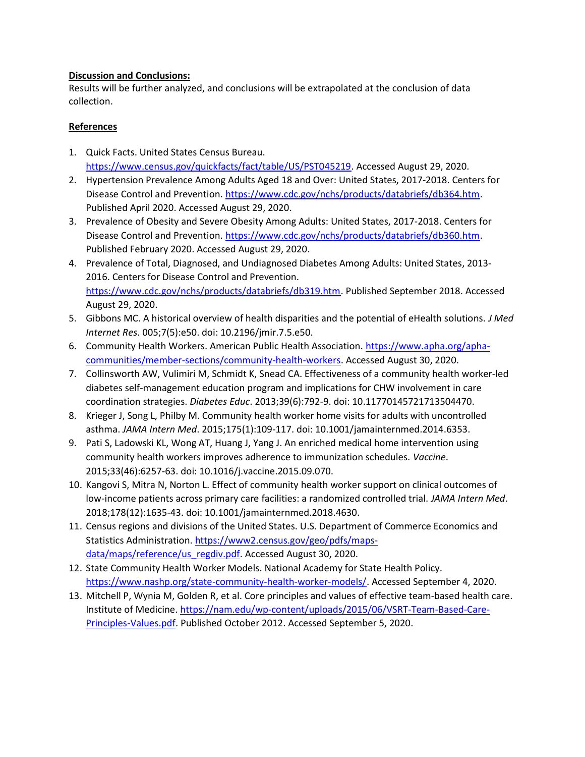## Discussion and Conclusions:

Results will be further analyzed, and conclusions will be extrapolated at the conclusion of data collection.

# References

- 1. Quick Facts. United States Census Bureau. https://www.census.gov/quickfacts/fact/table/US/PST045219. Accessed August 29, 2020.
- 2. Hypertension Prevalence Among Adults Aged 18 and Over: United States, 2017-2018. Centers for Disease Control and Prevention. https://www.cdc.gov/nchs/products/databriefs/db364.htm. Published April 2020. Accessed August 29, 2020.
- 3. Prevalence of Obesity and Severe Obesity Among Adults: United States, 2017-2018. Centers for Disease Control and Prevention. https://www.cdc.gov/nchs/products/databriefs/db360.htm. Published February 2020. Accessed August 29, 2020.
- 4. Prevalence of Total, Diagnosed, and Undiagnosed Diabetes Among Adults: United States, 2013- 2016. Centers for Disease Control and Prevention. https://www.cdc.gov/nchs/products/databriefs/db319.htm. Published September 2018. Accessed August 29, 2020.
- 5. Gibbons MC. A historical overview of health disparities and the potential of eHealth solutions. J Med Internet Res. 005;7(5):e50. doi: 10.2196/jmir.7.5.e50.
- 6. Community Health Workers. American Public Health Association. https://www.apha.org/aphacommunities/member-sections/community-health-workers. Accessed August 30, 2020.
- 7. Collinsworth AW, Vulimiri M, Schmidt K, Snead CA. Effectiveness of a community health worker-led diabetes self-management education program and implications for CHW involvement in care coordination strategies. Diabetes Educ. 2013;39(6):792-9. doi: 10.11770145721713504470.
- 8. Krieger J, Song L, Philby M. Community health worker home visits for adults with uncontrolled asthma. JAMA Intern Med. 2015;175(1):109-117. doi: 10.1001/jamainternmed.2014.6353.
- 9. Pati S, Ladowski KL, Wong AT, Huang J, Yang J. An enriched medical home intervention using community health workers improves adherence to immunization schedules. Vaccine. 2015;33(46):6257-63. doi: 10.1016/j.vaccine.2015.09.070.
- 10. Kangovi S, Mitra N, Norton L. Effect of community health worker support on clinical outcomes of low-income patients across primary care facilities: a randomized controlled trial. JAMA Intern Med. 2018;178(12):1635-43. doi: 10.1001/jamainternmed.2018.4630.
- 11. Census regions and divisions of the United States. U.S. Department of Commerce Economics and Statistics Administration. https://www2.census.gov/geo/pdfs/mapsdata/maps/reference/us\_regdiv.pdf. Accessed August 30, 2020.
- 12. State Community Health Worker Models. National Academy for State Health Policy. https://www.nashp.org/state-community-health-worker-models/. Accessed September 4, 2020.
- 13. Mitchell P, Wynia M, Golden R, et al. Core principles and values of effective team-based health care. Institute of Medicine. https://nam.edu/wp-content/uploads/2015/06/VSRT-Team-Based-Care-Principles-Values.pdf. Published October 2012. Accessed September 5, 2020.